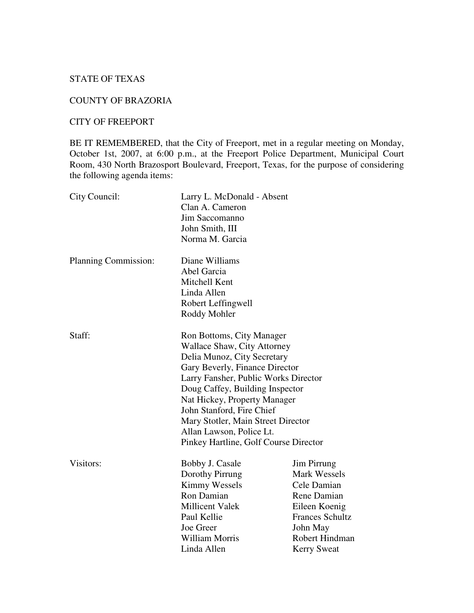## STATE OF TEXAS

#### COUNTY OF BRAZORIA

#### CITY OF FREEPORT

BE IT REMEMBERED, that the City of Freeport, met in a regular meeting on Monday, October 1st, 2007, at 6:00 p.m., at the Freeport Police Department, Municipal Court Room, 430 North Brazosport Boulevard, Freeport, Texas, for the purpose of considering the following agenda items:

| City Council:        | Larry L. McDonald - Absent<br>Clan A. Cameron<br>Jim Saccomanno<br>John Smith, III<br>Norma M. Garcia                                                                                                                                                                                                                                                                               |                                                                                                                                                                 |
|----------------------|-------------------------------------------------------------------------------------------------------------------------------------------------------------------------------------------------------------------------------------------------------------------------------------------------------------------------------------------------------------------------------------|-----------------------------------------------------------------------------------------------------------------------------------------------------------------|
| Planning Commission: | Diane Williams<br>Abel Garcia<br>Mitchell Kent<br>Linda Allen<br>Robert Leffingwell<br>Roddy Mohler                                                                                                                                                                                                                                                                                 |                                                                                                                                                                 |
| Staff:               | Ron Bottoms, City Manager<br><b>Wallace Shaw, City Attorney</b><br>Delia Munoz, City Secretary<br>Gary Beverly, Finance Director<br>Larry Fansher, Public Works Director<br>Doug Caffey, Building Inspector<br>Nat Hickey, Property Manager<br>John Stanford, Fire Chief<br>Mary Stotler, Main Street Director<br>Allan Lawson, Police Lt.<br>Pinkey Hartline, Golf Course Director |                                                                                                                                                                 |
| Visitors:            | Bobby J. Casale<br>Dorothy Pirrung<br><b>Kimmy Wessels</b><br>Ron Damian<br><b>Millicent Valek</b><br>Paul Kellie<br>Joe Greer<br><b>William Morris</b><br>Linda Allen                                                                                                                                                                                                              | Jim Pirrung<br><b>Mark Wessels</b><br>Cele Damian<br>Rene Damian<br>Eileen Koenig<br><b>Frances Schultz</b><br>John May<br>Robert Hindman<br><b>Kerry Sweat</b> |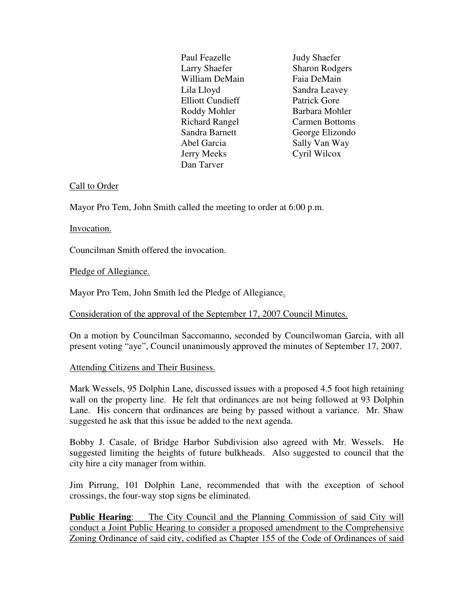Paul Feazelle **Judy Shaefer**  Larry Shaefer Sharon Rodgers William DeMain Faia DeMain Lila Lloyd Sandra Leavey Elliott Cundieff Patrick Gore Roddy Mohler Barbara Mohler Richard Rangel Carmen Bottoms Sandra Barnett George Elizondo Abel Garcia Sally Van Way Jerry Meeks Cyril Wilcox Dan Tarver

## Call to Order

Mayor Pro Tem, John Smith called the meeting to order at 6:00 p.m.

## Invocation.

Councilman Smith offered the invocation.

# Pledge of Allegiance.

Mayor Pro Tem, John Smith led the Pledge of Allegiance.

## Consideration of the approval of the September 17, 2007 Council Minutes.

On a motion by Councilman Saccomanno, seconded by Councilwoman Garcia, with all present voting "aye", Council unanimously approved the minutes of September 17, 2007.

## Attending Citizens and Their Business.

Mark Wessels, 95 Dolphin Lane, discussed issues with a proposed 4.5 foot high retaining wall on the property line. He felt that ordinances are not being followed at 93 Dolphin Lane. His concern that ordinances are being by passed without a variance. Mr. Shaw suggested he ask that this issue be added to the next agenda.

Bobby J. Casale, of Bridge Harbor Subdivision also agreed with Mr. Wessels. He suggested limiting the heights of future bulkheads. Also suggested to council that the city hire a city manager from within.

Jim Pirrung, 101 Dolphin Lane, recommended that with the exception of school crossings, the four-way stop signs be eliminated.

**Public Hearing**: The City Council and the Planning Commission of said City will conduct a Joint Public Hearing to consider a proposed amendment to the Comprehensive Zoning Ordinance of said city, codified as Chapter 155 of the Code of Ordinances of said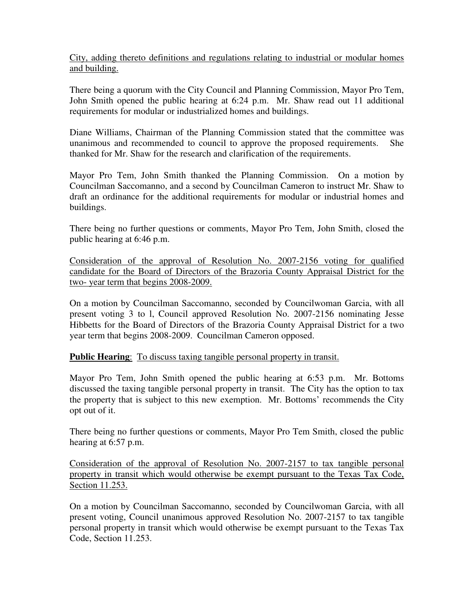City, adding thereto definitions and regulations relating to industrial or modular homes and building.

There being a quorum with the City Council and Planning Commission, Mayor Pro Tem, John Smith opened the public hearing at 6:24 p.m. Mr. Shaw read out 11 additional requirements for modular or industrialized homes and buildings.

Diane Williams, Chairman of the Planning Commission stated that the committee was unanimous and recommended to council to approve the proposed requirements. She thanked for Mr. Shaw for the research and clarification of the requirements.

Mayor Pro Tem, John Smith thanked the Planning Commission. On a motion by Councilman Saccomanno, and a second by Councilman Cameron to instruct Mr. Shaw to draft an ordinance for the additional requirements for modular or industrial homes and buildings.

There being no further questions or comments, Mayor Pro Tem, John Smith, closed the public hearing at 6:46 p.m.

Consideration of the approval of Resolution No. 2007-2156 voting for qualified candidate for the Board of Directors of the Brazoria County Appraisal District for the two- year term that begins 2008-2009.

On a motion by Councilman Saccomanno, seconded by Councilwoman Garcia, with all present voting 3 to l, Council approved Resolution No. 2007-2156 nominating Jesse Hibbetts for the Board of Directors of the Brazoria County Appraisal District for a two year term that begins 2008-2009. Councilman Cameron opposed.

#### **Public Hearing:** To discuss taxing tangible personal property in transit.

Mayor Pro Tem, John Smith opened the public hearing at 6:53 p.m. Mr. Bottoms discussed the taxing tangible personal property in transit. The City has the option to tax the property that is subject to this new exemption. Mr. Bottoms' recommends the City opt out of it.

There being no further questions or comments, Mayor Pro Tem Smith, closed the public hearing at 6:57 p.m.

Consideration of the approval of Resolution No. 2007-2157 to tax tangible personal property in transit which would otherwise be exempt pursuant to the Texas Tax Code, Section 11.253.

On a motion by Councilman Saccomanno, seconded by Councilwoman Garcia, with all present voting, Council unanimous approved Resolution No. 2007-2157 to tax tangible personal property in transit which would otherwise be exempt pursuant to the Texas Tax Code, Section 11.253.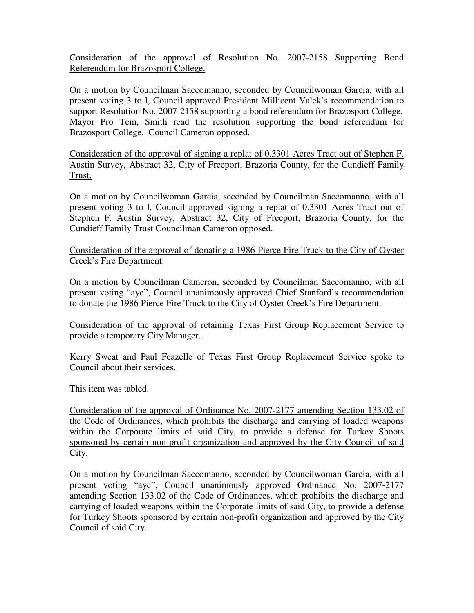Consideration of the approval of Resolution No. 2007-2158 Supporting Bond Referendum for Brazosport College.

On a motion by Councilman Saccomanno, seconded by Councilwoman Garcia, with all present voting 3 to l, Council approved President Millicent Valek's recommendation to support Resolution No. 2007-2158 supporting a bond referendum for Brazosport College. Mayor Pro Tem, Smith read the resolution supporting the bond referendum for Brazosport College. Council Cameron opposed.

Consideration of the approval of signing a replat of 0.3301 Acres Tract out of Stephen F. Austin Survey, Abstract 32, City of Freeport, Brazoria County, for the Cundieff Family Trust.

On a motion by Councilwoman Garcia, seconded by Councilman Saccomanno, with all present voting 3 to l, Council approved signing a replat of 0.3301 Acres Tract out of Stephen F. Austin Survey, Abstract 32, City of Freeport, Brazoria County, for the Cundieff Family Trust Councilman Cameron opposed.

Consideration of the approval of donating a 1986 Pierce Fire Truck to the City of Oyster Creek's Fire Department.

On a motion by Councilman Cameron, seconded by Councilman Saccomanno, with all present voting "aye", Council unanimously approved Chief Stanford's recommendation to donate the 1986 Pierce Fire Truck to the City of Oyster Creek's Fire Department.

Consideration of the approval of retaining Texas First Group Replacement Service to provide a temporary City Manager.

Kerry Sweat and Paul Feazelle of Texas First Group Replacement Service spoke to Council about their services.

This item was tabled.

Consideration of the approval of Ordinance No. 2007-2177 amending Section 133.02 of the Code of Ordinances, which prohibits the discharge and carrying of loaded weapons within the Corporate limits of said City, to provide a defense for Turkey Shoots sponsored by certain non-profit organization and approved by the City Council of said City.

On a motion by Councilman Saccomanno, seconded by Councilwoman Garcia, with all present voting "aye", Council unanimously approved Ordinance No. 2007-2177 amending Section 133.02 of the Code of Ordinances, which prohibits the discharge and carrying of loaded weapons within the Corporate limits of said City, to provide a defense for Turkey Shoots sponsored by certain non-profit organization and approved by the City Council of said City.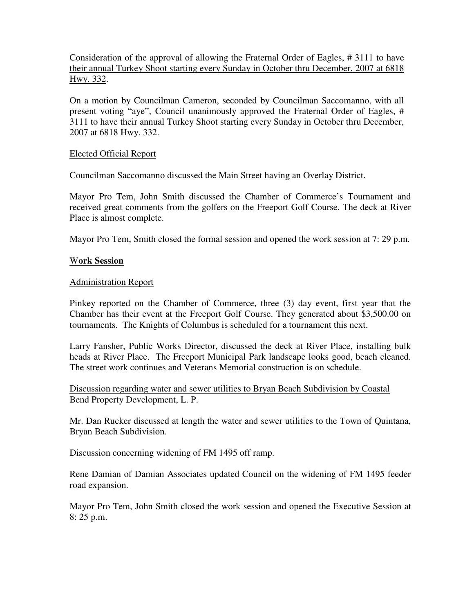Consideration of the approval of allowing the Fraternal Order of Eagles, # 3111 to have their annual Turkey Shoot starting every Sunday in October thru December, 2007 at 6818 Hwy. 332.

On a motion by Councilman Cameron, seconded by Councilman Saccomanno, with all present voting "aye", Council unanimously approved the Fraternal Order of Eagles, # 3111 to have their annual Turkey Shoot starting every Sunday in October thru December, 2007 at 6818 Hwy. 332.

#### Elected Official Report

Councilman Saccomanno discussed the Main Street having an Overlay District.

Mayor Pro Tem, John Smith discussed the Chamber of Commerce's Tournament and received great comments from the golfers on the Freeport Golf Course. The deck at River Place is almost complete.

Mayor Pro Tem, Smith closed the formal session and opened the work session at 7: 29 p.m.

### W**ork Session**

#### Administration Report

Pinkey reported on the Chamber of Commerce, three (3) day event, first year that the Chamber has their event at the Freeport Golf Course. They generated about \$3,500.00 on tournaments. The Knights of Columbus is scheduled for a tournament this next.

Larry Fansher, Public Works Director, discussed the deck at River Place, installing bulk heads at River Place. The Freeport Municipal Park landscape looks good, beach cleaned. The street work continues and Veterans Memorial construction is on schedule.

Discussion regarding water and sewer utilities to Bryan Beach Subdivision by Coastal Bend Property Development, L. P.

Mr. Dan Rucker discussed at length the water and sewer utilities to the Town of Quintana, Bryan Beach Subdivision.

#### Discussion concerning widening of FM 1495 off ramp.

Rene Damian of Damian Associates updated Council on the widening of FM 1495 feeder road expansion.

Mayor Pro Tem, John Smith closed the work session and opened the Executive Session at 8: 25 p.m.